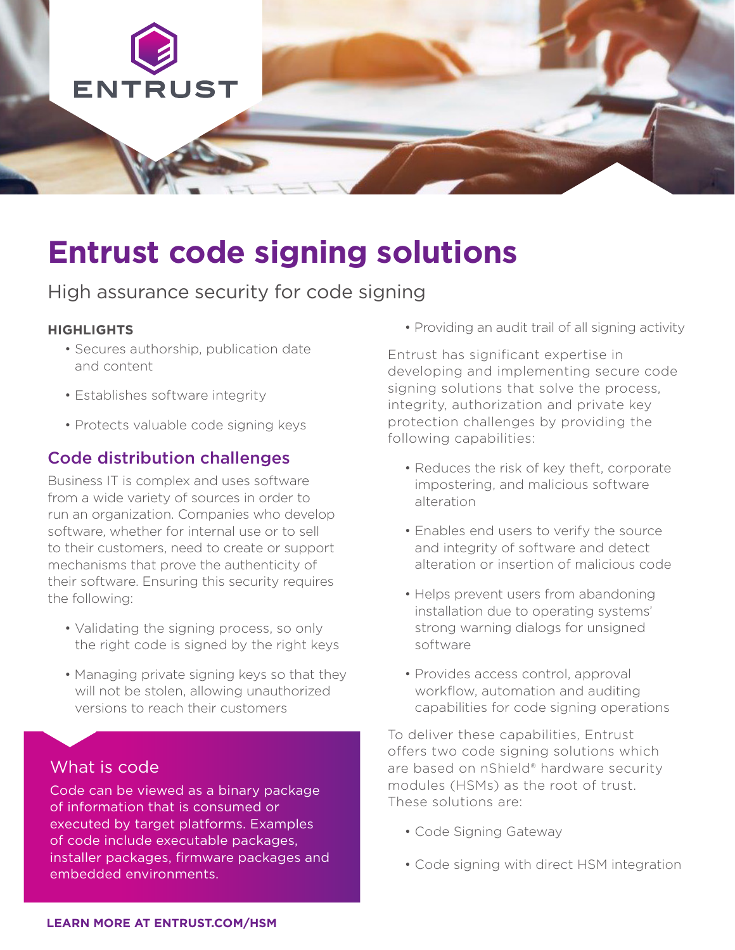

# **Entrust code signing solutions**

High assurance security for code signing

#### **HIGHLIGHTS**

- Secures authorship, publication date and content
- Establishes software integrity
- Protects valuable code signing keys

## Code distribution challenges

Business IT is complex and uses software from a wide variety of sources in order to run an organization. Companies who develop software, whether for internal use or to sell to their customers, need to create or support mechanisms that prove the authenticity of their software. Ensuring this security requires the following:

- Validating the signing process, so only the right code is signed by the right keys
- Managing private signing keys so that they will not be stolen, allowing unauthorized versions to reach their customers

## What is code

Code can be viewed as a binary package of information that is consumed or executed by target platforms. Examples of code include executable packages, installer packages, firmware packages and embedded environments.

• Providing an audit trail of all signing activity

Entrust has significant expertise in developing and implementing secure code signing solutions that solve the process, integrity, authorization and private key protection challenges by providing the following capabilities:

- Reduces the risk of key theft, corporate impostering, and malicious software alteration
- Enables end users to verify the source and integrity of software and detect alteration or insertion of malicious code
- Helps prevent users from abandoning installation due to operating systems' strong warning dialogs for unsigned software
- Provides access control, approval workflow, automation and auditing capabilities for code signing operations

To deliver these capabilities, Entrust offers two code signing solutions which are based on nShield® hardware security modules (HSMs) as the root of trust. These solutions are:

- Code Signing Gateway
- Code signing with direct HSM integration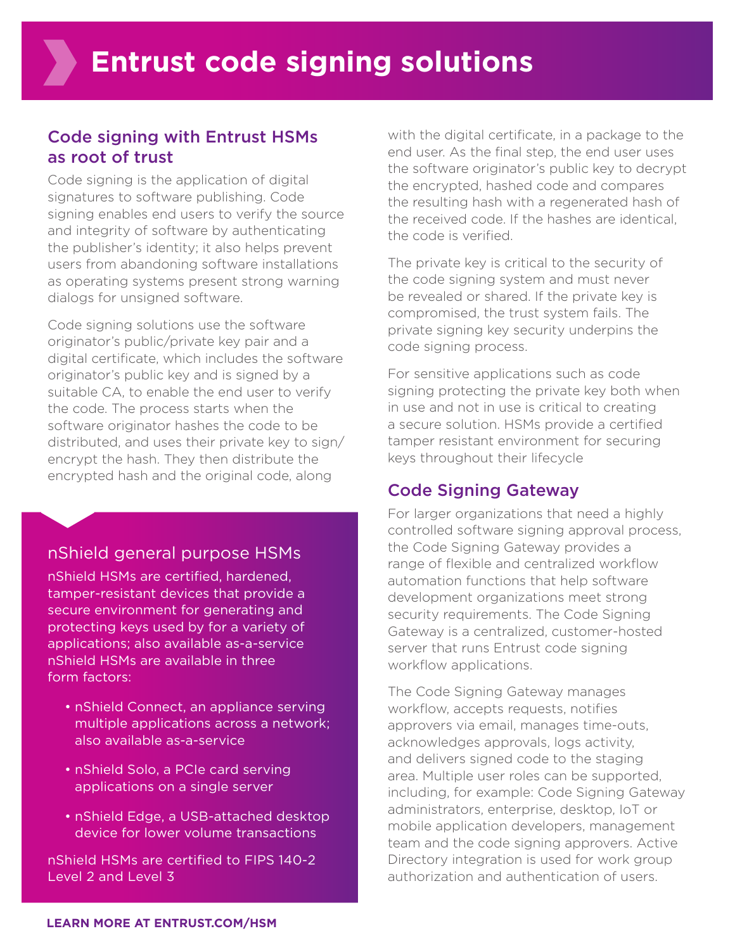## Code signing with Entrust HSMs as root of trust

Code signing is the application of digital signatures to software publishing. Code signing enables end users to verify the source and integrity of software by authenticating the publisher's identity; it also helps prevent users from abandoning software installations as operating systems present strong warning dialogs for unsigned software.

Code signing solutions use the software originator's public/private key pair and a digital certificate, which includes the software originator's public key and is signed by a suitable CA, to enable the end user to verify the code. The process starts when the software originator hashes the code to be distributed, and uses their private key to sign/ encrypt the hash. They then distribute the encrypted hash and the original code, along

#### nShield general purpose HSMs

nShield HSMs are certified, hardened, tamper-resistant devices that provide a secure environment for generating and protecting keys used by for a variety of applications; also available as-a-service nShield HSMs are available in three form factors:

- nShield Connect, an appliance serving multiple applications across a network; also available as-a-service
- nShield Solo, a PCIe card serving applications on a single server
- nShield Edge, a USB-attached desktop device for lower volume transactions

nShield HSMs are certified to FIPS 140-2 Level 2 and Level 3

with the digital certificate, in a package to the end user. As the final step, the end user uses the software originator's public key to decrypt the encrypted, hashed code and compares the resulting hash with a regenerated hash of the received code. If the hashes are identical, the code is verified.

The private key is critical to the security of the code signing system and must never be revealed or shared. If the private key is compromised, the trust system fails. The private signing key security underpins the code signing process.

For sensitive applications such as code signing protecting the private key both when in use and not in use is critical to creating a secure solution. HSMs provide a certified tamper resistant environment for securing keys throughout their lifecycle

#### Code Signing Gateway

For larger organizations that need a highly controlled software signing approval process, the Code Signing Gateway provides a range of flexible and centralized workflow automation functions that help software development organizations meet strong security requirements. The Code Signing Gateway is a centralized, customer-hosted server that runs Entrust code signing workflow applications.

The Code Signing Gateway manages workflow, accepts requests, notifies approvers via email, manages time-outs, acknowledges approvals, logs activity, and delivers signed code to the staging area. Multiple user roles can be supported, including, for example: Code Signing Gateway administrators, enterprise, desktop, IoT or mobile application developers, management team and the code signing approvers. Active Directory integration is used for work group authorization and authentication of users.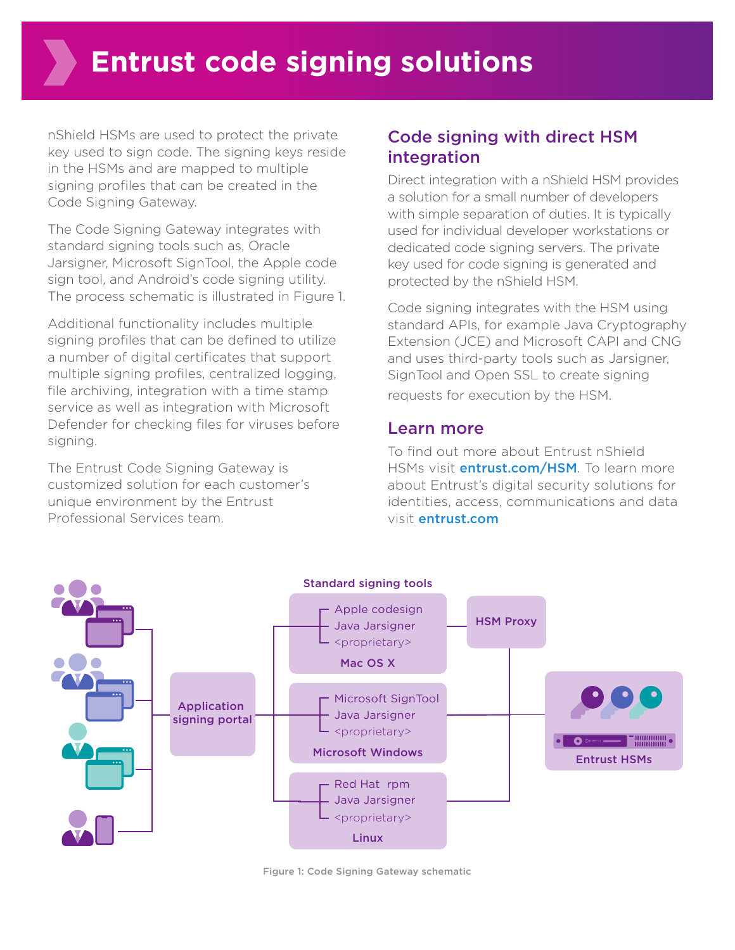nShield HSMs are used to protect the private key used to sign code. The signing keys reside in the HSMs and are mapped to multiple signing profiles that can be created in the Code Signing Gateway.

The Code Signing Gateway integrates with standard signing tools such as, Oracle Jarsigner, Microsoft SignTool, the Apple code sign tool, and Android's code signing utility. The process schematic is illustrated in Figure 1.

Additional functionality includes multiple signing profiles that can be defined to utilize a number of digital certificates that support multiple signing profiles, centralized logging, file archiving, integration with a time stamp service as well as integration with Microsoft Defender for checking files for viruses before signing.

The Entrust Code Signing Gateway is customized solution for each customer's unique environment by the Entrust Professional Services team.

# Code signing with direct HSM integration

Direct integration with a nShield HSM provides a solution for a small number of developers with simple separation of duties. It is typically used for individual developer workstations or dedicated code signing servers. The private key used for code signing is generated and protected by the nShield HSM.

Code signing integrates with the HSM using standard APIs, for example Java Cryptography Extension (JCE) and Microsoft CAPI and CNG and uses third-party tools such as Jarsigner, SignTool and Open SSL to create signing requests for execution by the HSM.

#### Learn more

To find out more about Entrust nShield HSMs visit **entrust.com/HSM**. To learn more about Entrust's digital security solutions for identities, access, communications and data visit entrust.com



Figure 1: Code Signing Gateway schematic